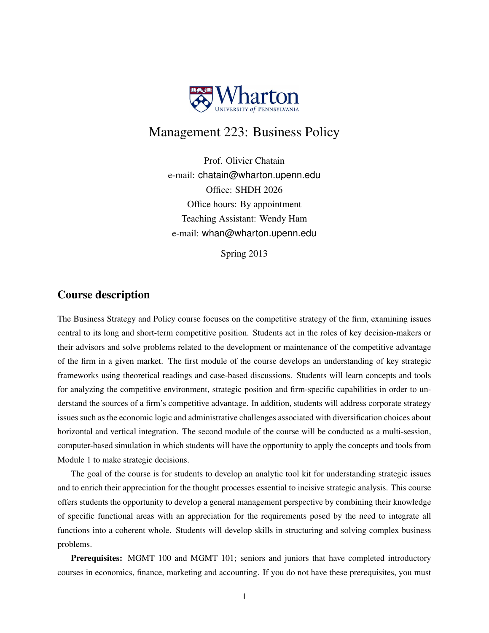

# Management 223: Business Policy

Prof. Olivier Chatain e-mail: chatain@wharton.upenn.edu Office: SHDH 2026 Office hours: By appointment Teaching Assistant: Wendy Ham e-mail: whan@wharton.upenn.edu

Spring 2013

# Course description

The Business Strategy and Policy course focuses on the competitive strategy of the firm, examining issues central to its long and short-term competitive position. Students act in the roles of key decision-makers or their advisors and solve problems related to the development or maintenance of the competitive advantage of the firm in a given market. The first module of the course develops an understanding of key strategic frameworks using theoretical readings and case-based discussions. Students will learn concepts and tools for analyzing the competitive environment, strategic position and firm-specific capabilities in order to understand the sources of a firm's competitive advantage. In addition, students will address corporate strategy issues such as the economic logic and administrative challenges associated with diversification choices about horizontal and vertical integration. The second module of the course will be conducted as a multi-session, computer-based simulation in which students will have the opportunity to apply the concepts and tools from Module 1 to make strategic decisions.

The goal of the course is for students to develop an analytic tool kit for understanding strategic issues and to enrich their appreciation for the thought processes essential to incisive strategic analysis. This course offers students the opportunity to develop a general management perspective by combining their knowledge of specific functional areas with an appreciation for the requirements posed by the need to integrate all functions into a coherent whole. Students will develop skills in structuring and solving complex business problems.

Prerequisites: MGMT 100 and MGMT 101; seniors and juniors that have completed introductory courses in economics, finance, marketing and accounting. If you do not have these prerequisites, you must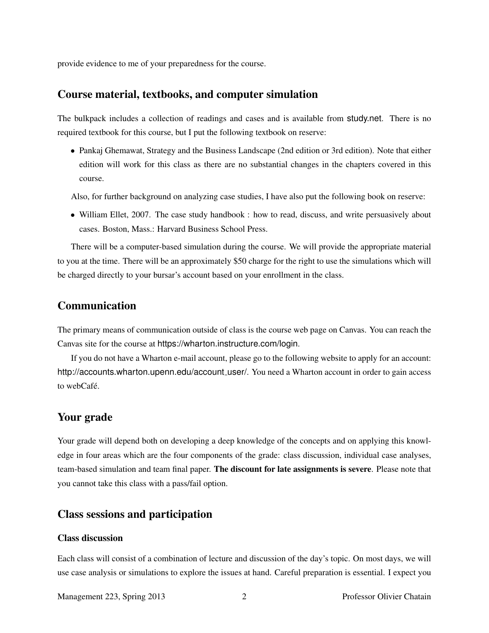provide evidence to me of your preparedness for the course.

## Course material, textbooks, and computer simulation

The bulkpack includes a collection of readings and cases and is available from study.net. There is no required textbook for this course, but I put the following textbook on reserve:

• Pankaj Ghemawat, Strategy and the Business Landscape (2nd edition or 3rd edition). Note that either edition will work for this class as there are no substantial changes in the chapters covered in this course.

Also, for further background on analyzing case studies, I have also put the following book on reserve:

• William Ellet, 2007. The case study handbook : how to read, discuss, and write persuasively about cases. Boston, Mass.: Harvard Business School Press.

There will be a computer-based simulation during the course. We will provide the appropriate material to you at the time. There will be an approximately \$50 charge for the right to use the simulations which will be charged directly to your bursar's account based on your enrollment in the class.

# Communication

The primary means of communication outside of class is the course web page on Canvas. You can reach the Canvas site for the course at https://wharton.instructure.com/login.

If you do not have a Wharton e-mail account, please go to the following website to apply for an account: http://accounts.wharton.upenn.edu/account\_user/. You need a Wharton account in order to gain access to webCafé.

# Your grade

Your grade will depend both on developing a deep knowledge of the concepts and on applying this knowledge in four areas which are the four components of the grade: class discussion, individual case analyses, team-based simulation and team final paper. The discount for late assignments is severe. Please note that you cannot take this class with a pass/fail option.

## Class sessions and participation

## Class discussion

Each class will consist of a combination of lecture and discussion of the day's topic. On most days, we will use case analysis or simulations to explore the issues at hand. Careful preparation is essential. I expect you

Management 223, Spring 2013 2 Professor Olivier Chatain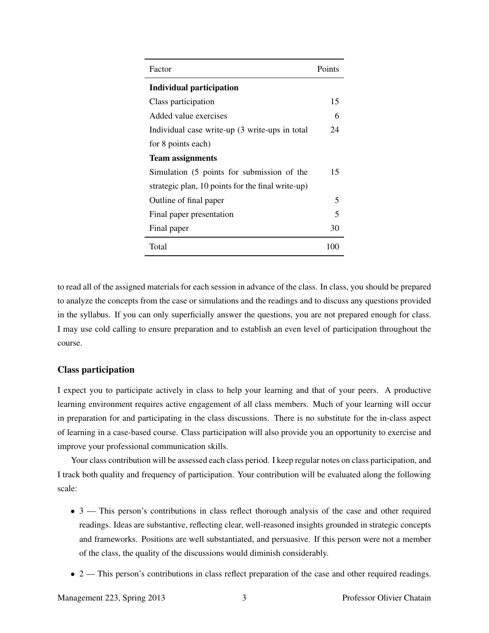| Factor                                            | Points                   |
|---------------------------------------------------|--------------------------|
| <b>Individual participation</b>                   |                          |
| Class participation                               | 15                       |
| Added value exercises                             | 6                        |
| Individual case write-up (3 write-ups in total    | 24                       |
| for 8 points each)                                |                          |
| <b>Team assignments</b>                           |                          |
| Simulation (5 points for submission of the        | 15                       |
| strategic plan, 10 points for the final write-up) |                          |
| Outline of final paper                            | 5                        |
| Final paper presentation                          | $\overline{\phantom{1}}$ |
| Final paper                                       | 30                       |
| Total                                             | 100                      |

to read all of the assigned materials for each session in advance of the class. In class, you should be prepared to analyze the concepts from the case or simulations and the readings and to discuss any questions provided in the syllabus. If you can only superficially answer the questions, you are not prepared enough for class. I may use cold calling to ensure preparation and to establish an even level of participation throughout the course.

## Class participation

I expect you to participate actively in class to help your learning and that of your peers. A productive learning environment requires active engagement of all class members. Much of your learning will occur in preparation for and participating in the class discussions. There is no substitute for the in-class aspect of learning in a case-based course. Class participation will also provide you an opportunity to exercise and improve your professional communication skills.

Your class contribution will be assessed each class period. I keep regular notes on class participation, and I track both quality and frequency of participation. Your contribution will be evaluated along the following scale:

- 3 This person's contributions in class reflect thorough analysis of the case and other required readings. Ideas are substantive, reflecting clear, well-reasoned insights grounded in strategic concepts and frameworks. Positions are well substantiated, and persuasive. If this person were not a member of the class, the quality of the discussions would diminish considerably.
- 2 This person's contributions in class reflect preparation of the case and other required readings.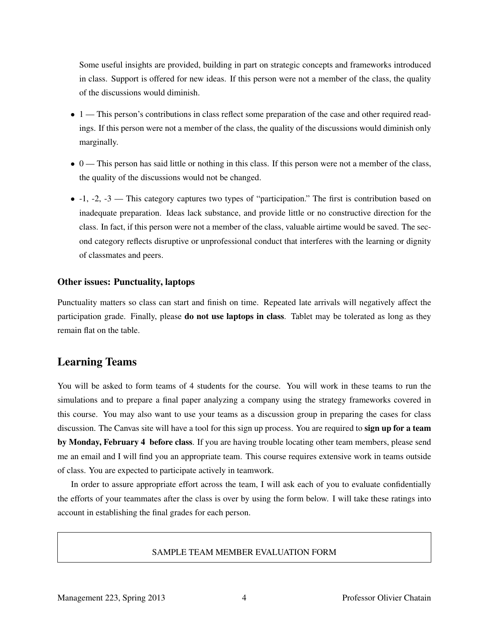Some useful insights are provided, building in part on strategic concepts and frameworks introduced in class. Support is offered for new ideas. If this person were not a member of the class, the quality of the discussions would diminish.

- 1 This person's contributions in class reflect some preparation of the case and other required readings. If this person were not a member of the class, the quality of the discussions would diminish only marginally.
- 0 This person has said little or nothing in this class. If this person were not a member of the class, the quality of the discussions would not be changed.
- $\bullet$  -1, -2, -3 This category captures two types of "participation." The first is contribution based on inadequate preparation. Ideas lack substance, and provide little or no constructive direction for the class. In fact, if this person were not a member of the class, valuable airtime would be saved. The second category reflects disruptive or unprofessional conduct that interferes with the learning or dignity of classmates and peers.

#### Other issues: Punctuality, laptops

Punctuality matters so class can start and finish on time. Repeated late arrivals will negatively affect the participation grade. Finally, please **do not use laptops in class**. Tablet may be tolerated as long as they remain flat on the table.

# Learning Teams

You will be asked to form teams of 4 students for the course. You will work in these teams to run the simulations and to prepare a final paper analyzing a company using the strategy frameworks covered in this course. You may also want to use your teams as a discussion group in preparing the cases for class discussion. The Canvas site will have a tool for this sign up process. You are required to **sign up for a team** by Monday, February 4 before class. If you are having trouble locating other team members, please send me an email and I will find you an appropriate team. This course requires extensive work in teams outside of class. You are expected to participate actively in teamwork.

In order to assure appropriate effort across the team, I will ask each of you to evaluate confidentially the efforts of your teammates after the class is over by using the form below. I will take these ratings into account in establishing the final grades for each person.

#### SAMPLE TEAM MEMBER EVALUATION FORM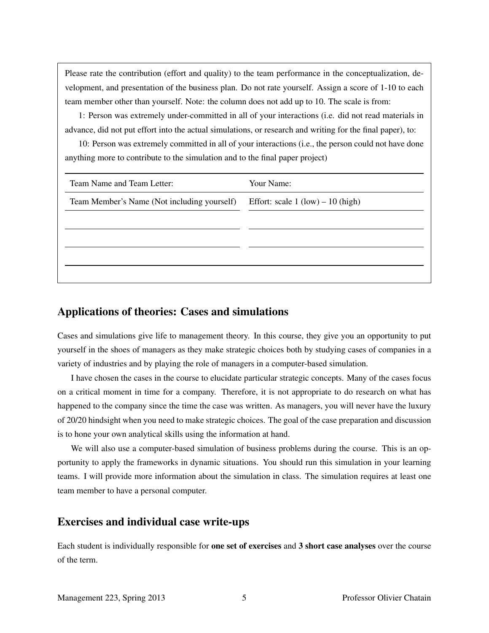Please rate the contribution (effort and quality) to the team performance in the conceptualization, development, and presentation of the business plan. Do not rate yourself. Assign a score of 1-10 to each team member other than yourself. Note: the column does not add up to 10. The scale is from:

1: Person was extremely under-committed in all of your interactions (i.e. did not read materials in advance, did not put effort into the actual simulations, or research and writing for the final paper), to:

10: Person was extremely committed in all of your interactions (i.e., the person could not have done anything more to contribute to the simulation and to the final paper project)

| Team Name and Team Letter:                  | Your Name:                          |
|---------------------------------------------|-------------------------------------|
| Team Member's Name (Not including yourself) | Effort: scale $1 (low) - 10 (high)$ |
|                                             |                                     |
|                                             |                                     |
|                                             |                                     |
|                                             |                                     |

# Applications of theories: Cases and simulations

Cases and simulations give life to management theory. In this course, they give you an opportunity to put yourself in the shoes of managers as they make strategic choices both by studying cases of companies in a variety of industries and by playing the role of managers in a computer-based simulation.

I have chosen the cases in the course to elucidate particular strategic concepts. Many of the cases focus on a critical moment in time for a company. Therefore, it is not appropriate to do research on what has happened to the company since the time the case was written. As managers, you will never have the luxury of 20/20 hindsight when you need to make strategic choices. The goal of the case preparation and discussion is to hone your own analytical skills using the information at hand.

We will also use a computer-based simulation of business problems during the course. This is an opportunity to apply the frameworks in dynamic situations. You should run this simulation in your learning teams. I will provide more information about the simulation in class. The simulation requires at least one team member to have a personal computer.

# Exercises and individual case write-ups

Each student is individually responsible for one set of exercises and 3 short case analyses over the course of the term.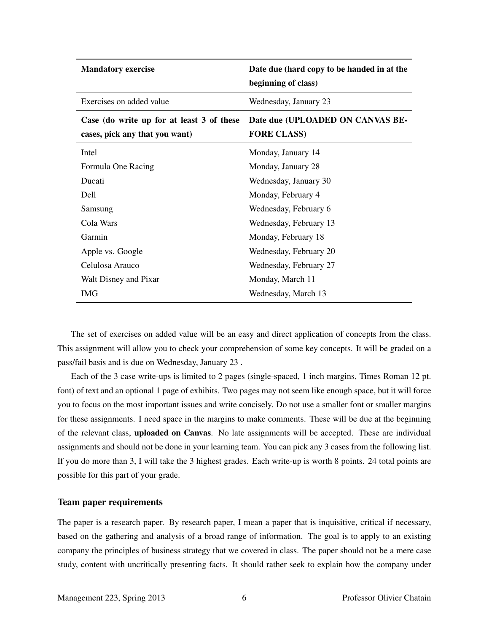| <b>Mandatory exercise</b>                                                   | Date due (hard copy to be handed in at the<br>beginning of class) |
|-----------------------------------------------------------------------------|-------------------------------------------------------------------|
| Exercises on added value                                                    | Wednesday, January 23                                             |
| Case (do write up for at least 3 of these<br>cases, pick any that you want) | Date due (UPLOADED ON CANVAS BE-<br><b>FORE CLASS)</b>            |
| Intel                                                                       | Monday, January 14                                                |
| Formula One Racing                                                          | Monday, January 28                                                |
| Ducati                                                                      | Wednesday, January 30                                             |
| <b>Dell</b>                                                                 | Monday, February 4                                                |
| Samsung                                                                     | Wednesday, February 6                                             |
| Cola Wars                                                                   | Wednesday, February 13                                            |
| Garmin                                                                      | Monday, February 18                                               |
| Apple vs. Google                                                            | Wednesday, February 20                                            |
| Celulosa Arauco                                                             | Wednesday, February 27                                            |
| Walt Disney and Pixar                                                       | Monday, March 11                                                  |
| IMG                                                                         | Wednesday, March 13                                               |

The set of exercises on added value will be an easy and direct application of concepts from the class. This assignment will allow you to check your comprehension of some key concepts. It will be graded on a pass/fail basis and is due on Wednesday, January 23 .

Each of the 3 case write-ups is limited to 2 pages (single-spaced, 1 inch margins, Times Roman 12 pt. font) of text and an optional 1 page of exhibits. Two pages may not seem like enough space, but it will force you to focus on the most important issues and write concisely. Do not use a smaller font or smaller margins for these assignments. I need space in the margins to make comments. These will be due at the beginning of the relevant class, uploaded on Canvas. No late assignments will be accepted. These are individual assignments and should not be done in your learning team. You can pick any 3 cases from the following list. If you do more than 3, I will take the 3 highest grades. Each write-up is worth 8 points. 24 total points are possible for this part of your grade.

#### Team paper requirements

The paper is a research paper. By research paper, I mean a paper that is inquisitive, critical if necessary, based on the gathering and analysis of a broad range of information. The goal is to apply to an existing company the principles of business strategy that we covered in class. The paper should not be a mere case study, content with uncritically presenting facts. It should rather seek to explain how the company under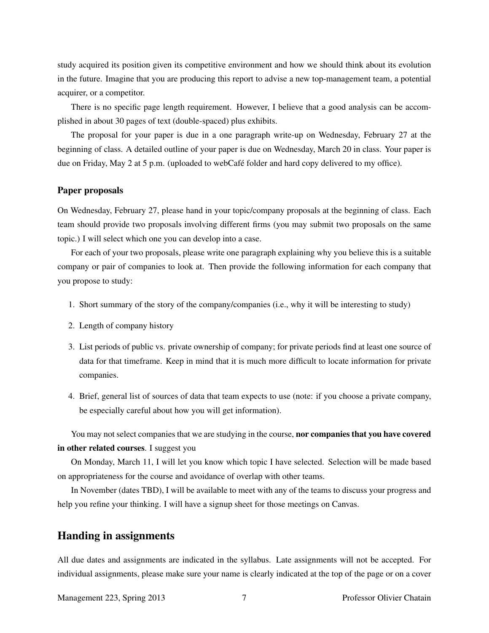study acquired its position given its competitive environment and how we should think about its evolution in the future. Imagine that you are producing this report to advise a new top-management team, a potential acquirer, or a competitor.

There is no specific page length requirement. However, I believe that a good analysis can be accomplished in about 30 pages of text (double-spaced) plus exhibits.

The proposal for your paper is due in a one paragraph write-up on Wednesday, February 27 at the beginning of class. A detailed outline of your paper is due on Wednesday, March 20 in class. Your paper is due on Friday, May 2 at 5 p.m. (uploaded to webCafé folder and hard copy delivered to my office).

#### Paper proposals

On Wednesday, February 27, please hand in your topic/company proposals at the beginning of class. Each team should provide two proposals involving different firms (you may submit two proposals on the same topic.) I will select which one you can develop into a case.

For each of your two proposals, please write one paragraph explaining why you believe this is a suitable company or pair of companies to look at. Then provide the following information for each company that you propose to study:

- 1. Short summary of the story of the company/companies (i.e., why it will be interesting to study)
- 2. Length of company history
- 3. List periods of public vs. private ownership of company; for private periods find at least one source of data for that timeframe. Keep in mind that it is much more difficult to locate information for private companies.
- 4. Brief, general list of sources of data that team expects to use (note: if you choose a private company, be especially careful about how you will get information).

You may not select companies that we are studying in the course, nor companies that you have covered in other related courses. I suggest you

On Monday, March 11, I will let you know which topic I have selected. Selection will be made based on appropriateness for the course and avoidance of overlap with other teams.

In November (dates TBD), I will be available to meet with any of the teams to discuss your progress and help you refine your thinking. I will have a signup sheet for those meetings on Canvas.

## Handing in assignments

All due dates and assignments are indicated in the syllabus. Late assignments will not be accepted. For individual assignments, please make sure your name is clearly indicated at the top of the page or on a cover

Management 223, Spring 2013 7 Professor Olivier Chatain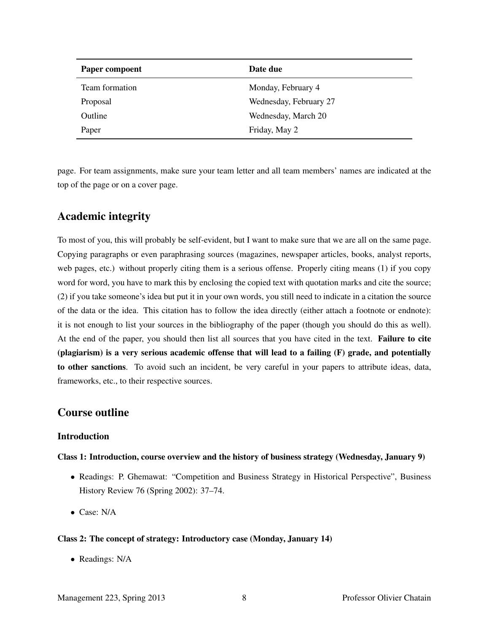| Paper compoent | Date due               |
|----------------|------------------------|
| Team formation | Monday, February 4     |
| Proposal       | Wednesday, February 27 |
| Outline        | Wednesday, March 20    |
| Paper          | Friday, May 2          |

page. For team assignments, make sure your team letter and all team members' names are indicated at the top of the page or on a cover page.

# Academic integrity

To most of you, this will probably be self-evident, but I want to make sure that we are all on the same page. Copying paragraphs or even paraphrasing sources (magazines, newspaper articles, books, analyst reports, web pages, etc.) without properly citing them is a serious offense. Properly citing means (1) if you copy word for word, you have to mark this by enclosing the copied text with quotation marks and cite the source; (2) if you take someone's idea but put it in your own words, you still need to indicate in a citation the source of the data or the idea. This citation has to follow the idea directly (either attach a footnote or endnote): it is not enough to list your sources in the bibliography of the paper (though you should do this as well). At the end of the paper, you should then list all sources that you have cited in the text. Failure to cite (plagiarism) is a very serious academic offense that will lead to a failing (F) grade, and potentially to other sanctions. To avoid such an incident, be very careful in your papers to attribute ideas, data, frameworks, etc., to their respective sources.

# Course outline

## Introduction

## Class 1: Introduction, course overview and the history of business strategy (Wednesday, January 9)

- Readings: P. Ghemawat: "Competition and Business Strategy in Historical Perspective", Business History Review 76 (Spring 2002): 37–74.
- Case: N/A

#### Class 2: The concept of strategy: Introductory case (Monday, January 14)

• Readings: N/A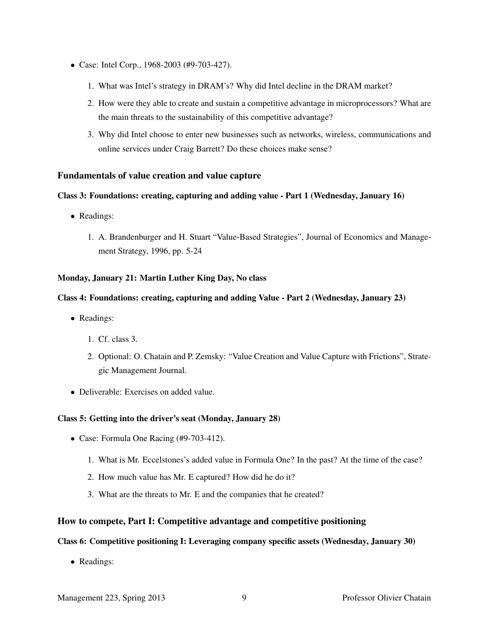- Case: Intel Corp., 1968-2003 (#9-703-427).
	- 1. What was Intel's strategy in DRAM's? Why did Intel decline in the DRAM market?
	- 2. How were they able to create and sustain a competitive advantage in microprocessors? What are the main threats to the sustainability of this competitive advantage?
	- 3. Why did Intel choose to enter new businesses such as networks, wireless, communications and online services under Craig Barrett? Do these choices make sense?

## Fundamentals of value creation and value capture

## Class 3: Foundations: creating, capturing and adding value - Part 1 (Wednesday, January 16)

- Readings:
	- 1. A. Brandenburger and H. Stuart "Value-Based Strategies", Journal of Economics and Management Strategy, 1996, pp. 5-24

## Monday, January 21: Martin Luther King Day, No class

## Class 4: Foundations: creating, capturing and adding Value - Part 2 (Wednesday, January 23)

- Readings:
	- 1. Cf. class 3.
	- 2. Optional: O. Chatain and P. Zemsky: "Value Creation and Value Capture with Frictions", Strategic Management Journal.
- Deliverable: Exercises on added value.

## Class 5: Getting into the driver's seat (Monday, January 28)

- Case: Formula One Racing (#9-703-412).
	- 1. What is Mr. Eccelstones's added value in Formula One? In the past? At the time of the case?
	- 2. How much value has Mr. E captured? How did he do it?
	- 3. What are the threats to Mr. E and the companies that he created?

## How to compete, Part I: Competitive advantage and competitive positioning

## Class 6: Competitive positioning I: Leveraging company specific assets (Wednesday, January 30)

• Readings: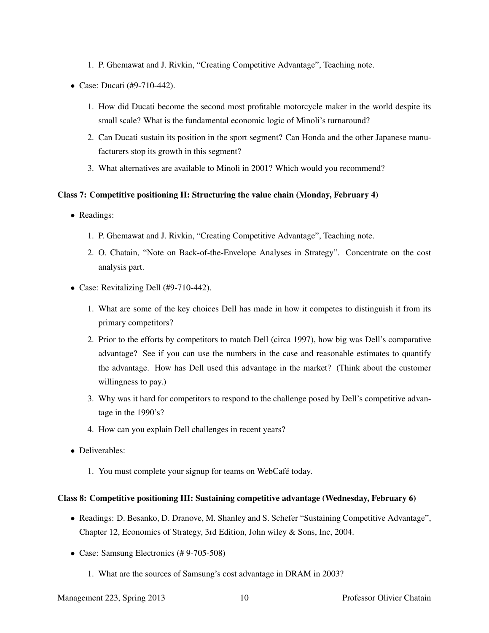- 1. P. Ghemawat and J. Rivkin, "Creating Competitive Advantage", Teaching note.
- Case: Ducati (#9-710-442).
	- 1. How did Ducati become the second most profitable motorcycle maker in the world despite its small scale? What is the fundamental economic logic of Minoli's turnaround?
	- 2. Can Ducati sustain its position in the sport segment? Can Honda and the other Japanese manufacturers stop its growth in this segment?
	- 3. What alternatives are available to Minoli in 2001? Which would you recommend?

#### Class 7: Competitive positioning II: Structuring the value chain (Monday, February 4)

- Readings:
	- 1. P. Ghemawat and J. Rivkin, "Creating Competitive Advantage", Teaching note.
	- 2. O. Chatain, "Note on Back-of-the-Envelope Analyses in Strategy". Concentrate on the cost analysis part.
- Case: Revitalizing Dell (#9-710-442).
	- 1. What are some of the key choices Dell has made in how it competes to distinguish it from its primary competitors?
	- 2. Prior to the efforts by competitors to match Dell (circa 1997), how big was Dell's comparative advantage? See if you can use the numbers in the case and reasonable estimates to quantify the advantage. How has Dell used this advantage in the market? (Think about the customer willingness to pay.)
	- 3. Why was it hard for competitors to respond to the challenge posed by Dell's competitive advantage in the 1990's?
	- 4. How can you explain Dell challenges in recent years?
- Deliverables:
	- 1. You must complete your signup for teams on WebCafé today.

#### Class 8: Competitive positioning III: Sustaining competitive advantage (Wednesday, February 6)

- Readings: D. Besanko, D. Dranove, M. Shanley and S. Schefer "Sustaining Competitive Advantage", Chapter 12, Economics of Strategy, 3rd Edition, John wiley & Sons, Inc, 2004.
- Case: Samsung Electronics (# 9-705-508)
	- 1. What are the sources of Samsung's cost advantage in DRAM in 2003?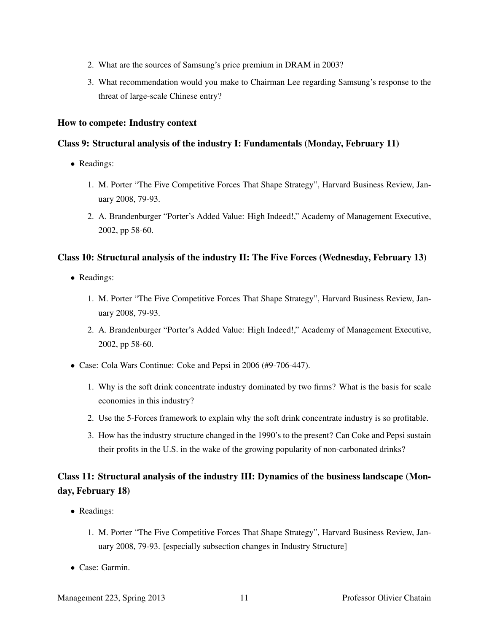- 2. What are the sources of Samsung's price premium in DRAM in 2003?
- 3. What recommendation would you make to Chairman Lee regarding Samsung's response to the threat of large-scale Chinese entry?

#### How to compete: Industry context

### Class 9: Structural analysis of the industry I: Fundamentals (Monday, February 11)

- Readings:
	- 1. M. Porter "The Five Competitive Forces That Shape Strategy", Harvard Business Review, January 2008, 79-93.
	- 2. A. Brandenburger "Porter's Added Value: High Indeed!," Academy of Management Executive, 2002, pp 58-60.

## Class 10: Structural analysis of the industry II: The Five Forces (Wednesday, February 13)

- Readings:
	- 1. M. Porter "The Five Competitive Forces That Shape Strategy", Harvard Business Review, January 2008, 79-93.
	- 2. A. Brandenburger "Porter's Added Value: High Indeed!," Academy of Management Executive, 2002, pp 58-60.
- Case: Cola Wars Continue: Coke and Pepsi in 2006 (#9-706-447).
	- 1. Why is the soft drink concentrate industry dominated by two firms? What is the basis for scale economies in this industry?
	- 2. Use the 5-Forces framework to explain why the soft drink concentrate industry is so profitable.
	- 3. How has the industry structure changed in the 1990's to the present? Can Coke and Pepsi sustain their profits in the U.S. in the wake of the growing popularity of non-carbonated drinks?

# Class 11: Structural analysis of the industry III: Dynamics of the business landscape (Monday, February 18)

- Readings:
	- 1. M. Porter "The Five Competitive Forces That Shape Strategy", Harvard Business Review, January 2008, 79-93. [especially subsection changes in Industry Structure]
- Case: Garmin.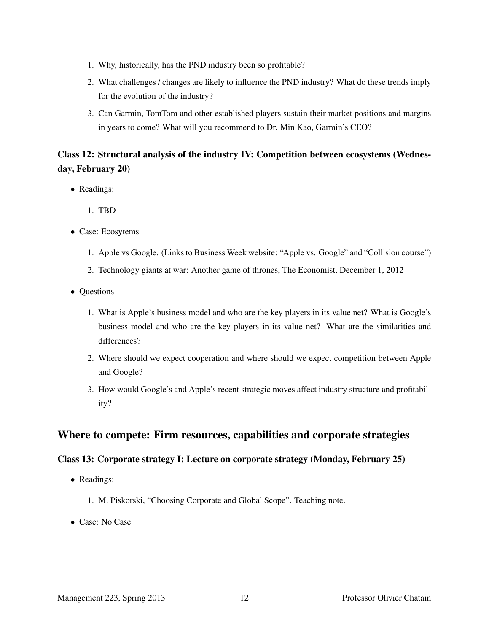- 1. Why, historically, has the PND industry been so profitable?
- 2. What challenges / changes are likely to influence the PND industry? What do these trends imply for the evolution of the industry?
- 3. Can Garmin, TomTom and other established players sustain their market positions and margins in years to come? What will you recommend to Dr. Min Kao, Garmin's CEO?

# Class 12: Structural analysis of the industry IV: Competition between ecosystems (Wednesday, February 20)

- Readings:
	- 1. TBD
- Case: Ecosytems
	- 1. Apple vs Google. (Links to Business Week website: "Apple vs. Google" and "Collision course")
	- 2. Technology giants at war: Another game of thrones, The Economist, December 1, 2012
- Questions
	- 1. What is Apple's business model and who are the key players in its value net? What is Google's business model and who are the key players in its value net? What are the similarities and differences?
	- 2. Where should we expect cooperation and where should we expect competition between Apple and Google?
	- 3. How would Google's and Apple's recent strategic moves affect industry structure and profitability?

# Where to compete: Firm resources, capabilities and corporate strategies

## Class 13: Corporate strategy I: Lecture on corporate strategy (Monday, February 25)

- Readings:
	- 1. M. Piskorski, "Choosing Corporate and Global Scope". Teaching note.
- Case: No Case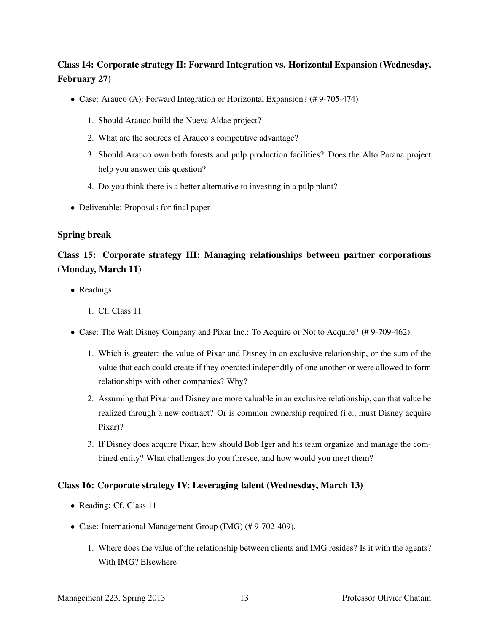# Class 14: Corporate strategy II: Forward Integration vs. Horizontal Expansion (Wednesday, February 27)

- Case: Arauco (A): Forward Integration or Horizontal Expansion? (# 9-705-474)
	- 1. Should Arauco build the Nueva Aldae project?
	- 2. What are the sources of Arauco's competitive advantage?
	- 3. Should Arauco own both forests and pulp production facilities? Does the Alto Parana project help you answer this question?
	- 4. Do you think there is a better alternative to investing in a pulp plant?
- Deliverable: Proposals for final paper

## Spring break

# Class 15: Corporate strategy III: Managing relationships between partner corporations (Monday, March 11)

- Readings:
	- 1. Cf. Class 11
- Case: The Walt Disney Company and Pixar Inc.: To Acquire or Not to Acquire? (# 9-709-462).
	- 1. Which is greater: the value of Pixar and Disney in an exclusive relationship, or the sum of the value that each could create if they operated independtly of one another or were allowed to form relationships with other companies? Why?
	- 2. Assuming that Pixar and Disney are more valuable in an exclusive relationship, can that value be realized through a new contract? Or is common ownership required (i.e., must Disney acquire Pixar)?
	- 3. If Disney does acquire Pixar, how should Bob Iger and his team organize and manage the combined entity? What challenges do you foresee, and how would you meet them?

## Class 16: Corporate strategy IV: Leveraging talent (Wednesday, March 13)

- Reading: Cf. Class 11
- Case: International Management Group (IMG) (# 9-702-409).
	- 1. Where does the value of the relationship between clients and IMG resides? Is it with the agents? With IMG? Elsewhere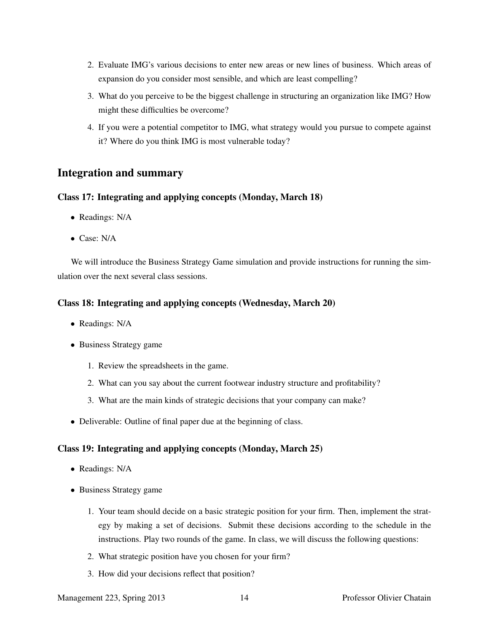- 2. Evaluate IMG's various decisions to enter new areas or new lines of business. Which areas of expansion do you consider most sensible, and which are least compelling?
- 3. What do you perceive to be the biggest challenge in structuring an organization like IMG? How might these difficulties be overcome?
- 4. If you were a potential competitor to IMG, what strategy would you pursue to compete against it? Where do you think IMG is most vulnerable today?

# Integration and summary

## Class 17: Integrating and applying concepts (Monday, March 18)

- Readings: N/A
- Case: N/A

We will introduce the Business Strategy Game simulation and provide instructions for running the simulation over the next several class sessions.

## Class 18: Integrating and applying concepts (Wednesday, March 20)

- Readings: N/A
- Business Strategy game
	- 1. Review the spreadsheets in the game.
	- 2. What can you say about the current footwear industry structure and profitability?
	- 3. What are the main kinds of strategic decisions that your company can make?
- Deliverable: Outline of final paper due at the beginning of class.

## Class 19: Integrating and applying concepts (Monday, March 25)

- Readings: N/A
- Business Strategy game
	- 1. Your team should decide on a basic strategic position for your firm. Then, implement the strategy by making a set of decisions. Submit these decisions according to the schedule in the instructions. Play two rounds of the game. In class, we will discuss the following questions:
	- 2. What strategic position have you chosen for your firm?
	- 3. How did your decisions reflect that position?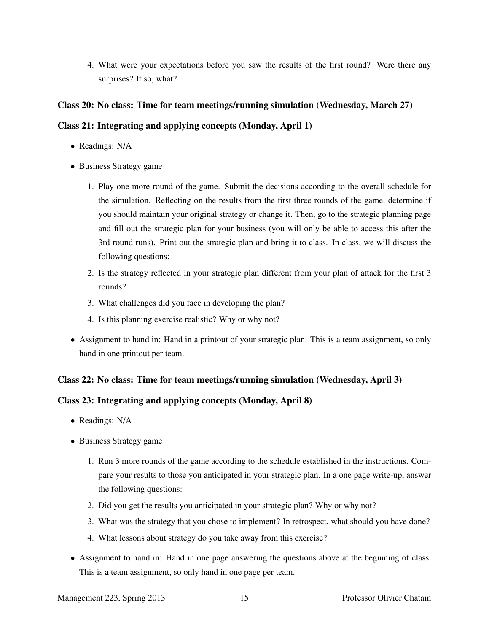4. What were your expectations before you saw the results of the first round? Were there any surprises? If so, what?

## Class 20: No class: Time for team meetings/running simulation (Wednesday, March 27)

## Class 21: Integrating and applying concepts (Monday, April 1)

- Readings: N/A
- Business Strategy game
	- 1. Play one more round of the game. Submit the decisions according to the overall schedule for the simulation. Reflecting on the results from the first three rounds of the game, determine if you should maintain your original strategy or change it. Then, go to the strategic planning page and fill out the strategic plan for your business (you will only be able to access this after the 3rd round runs). Print out the strategic plan and bring it to class. In class, we will discuss the following questions:
	- 2. Is the strategy reflected in your strategic plan different from your plan of attack for the first 3 rounds?
	- 3. What challenges did you face in developing the plan?
	- 4. Is this planning exercise realistic? Why or why not?
- Assignment to hand in: Hand in a printout of your strategic plan. This is a team assignment, so only hand in one printout per team.

## Class 22: No class: Time for team meetings/running simulation (Wednesday, April 3)

## Class 23: Integrating and applying concepts (Monday, April 8)

- Readings: N/A
- Business Strategy game
	- 1. Run 3 more rounds of the game according to the schedule established in the instructions. Compare your results to those you anticipated in your strategic plan. In a one page write-up, answer the following questions:
	- 2. Did you get the results you anticipated in your strategic plan? Why or why not?
	- 3. What was the strategy that you chose to implement? In retrospect, what should you have done?
	- 4. What lessons about strategy do you take away from this exercise?
- Assignment to hand in: Hand in one page answering the questions above at the beginning of class. This is a team assignment, so only hand in one page per team.